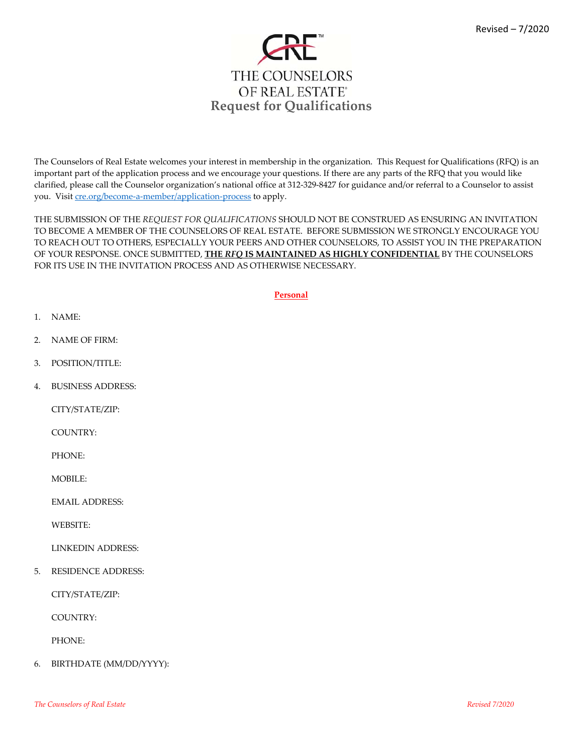

The Counselors of Real Estate welcomes your interest in membership in the organization. This Request for Qualifications (RFQ) is an important part of the application process and we encourage your questions. If there are any parts of the RFQ that you would like clarified, please call the Counselor organization's national office at 312‐329‐8427 for guidance and/or referral to a Counselor to assist you. Visit cre.org/become-a-member/application-process to apply.

THE SUBMISSION OF THE *REQUEST FOR QUALIFICATIONS* SHOULD NOT BE CONSTRUED AS ENSURING AN INVITATION TO BECOME A MEMBER OF THE COUNSELORS OF REAL ESTATE. BEFORE SUBMISSION WE STRONGLY ENCOURAGE YOU TO REACH OUT TO OTHERS, ESPECIALLY YOUR PEERS AND OTHER COUNSELORS, TO ASSIST YOU IN THE PREPARATION OF YOUR RESPONSE. ONCE SUBMITTED, **THE** *RFQ* **IS MAINTAINED AS HIGHLY CONFIDENTIAL** BY THE COUNSELORS FOR ITS USE IN THE INVITATION PROCESS AND AS OTHERWISE NECESSARY.

**Personal**

- 1. NAME:
- 2. NAME OF FIRM:
- 3. POSITION/TITLE:
- 4. BUSINESS ADDRESS:

CITY/STATE/ZIP:

COUNTRY:

PHONE:

MOBILE:

EMAIL ADDRESS:

WEBSITE:

LINKEDIN ADDRESS:

5. RESIDENCE ADDRESS:

CITY/STATE/ZIP:

COUNTRY:

PHONE:

6. BIRTHDATE (MM/DD/YYYY):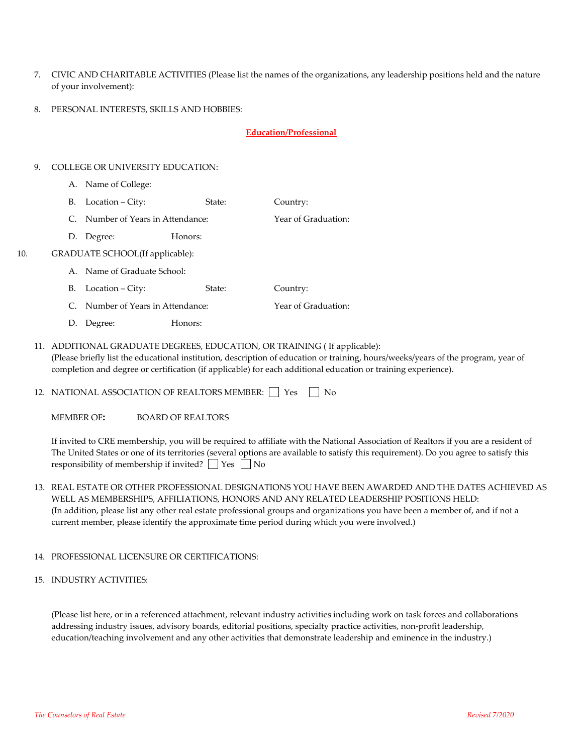- 7. CIVIC AND CHARITABLE ACTIVITIES (Please list the names of the organizations, any leadership positions held and the nature of your involvement):
- 8. PERSONAL INTERESTS, SKILLS AND HOBBIES:

### **Education/Professional**

#### 9. COLLEGE OR UNIVERSITY EDUCATION:

- A. Name of College:
- B. Location City: State: Country:
- C. Number of Years in Attendance:  $\overline{Y}$  Year of Graduation:
- D. Degree: Honors:

#### 10. GRADUATE SCHOOL(If applicable):

- A. Name of Graduate School:
- B. Location City: State: Country:
- C. Number of Years in Attendance: Year of Graduation:
- D. Degree: Honors:
- 11. ADDITIONAL GRADUATE DEGREES, EDUCATION, OR TRAINING ( If applicable): (Please briefly list the educational institution, description of education or training, hours/weeks/years of the program, year of completion and degree or certification (if applicable) for each additional education or training experience).
- 12. NATIONAL ASSOCIATION OF REALTORS MEMBER:  $\Box$  Yes  $\Box$  No

MEMBER OF**:** BOARD OF REALTORS

If invited to CRE membership, you will be required to affiliate with the National Association of Realtors if you are a resident of The United States or one of its territories (several options are available to satisfy this requirement). Do you agree to satisfy this responsibility of membership if invited?  $\Box$  Yes  $\Box$  No

13. REAL ESTATE OR OTHER PROFESSIONAL DESIGNATIONS YOU HAVE BEEN AWARDED AND THE DATES ACHIEVED AS WELL AS MEMBERSHIPS, AFFILIATIONS, HONORS AND ANY RELATED LEADERSHIP POSITIONS HELD: (In addition, please list any other real estate professional groups and organizations you have been a member of, and if not a current member, please identify the approximate time period during which you were involved.)

#### 14. PROFESSIONAL LICENSURE OR CERTIFICATIONS:

15. INDUSTRY ACTIVITIES:

(Please list here, or in a referenced attachment, relevant industry activities including work on task forces and collaborations addressing industry issues, advisory boards, editorial positions, specialty practice activities, non‐profit leadership, education/teaching involvement and any other activities that demonstrate leadership and eminence in the industry.)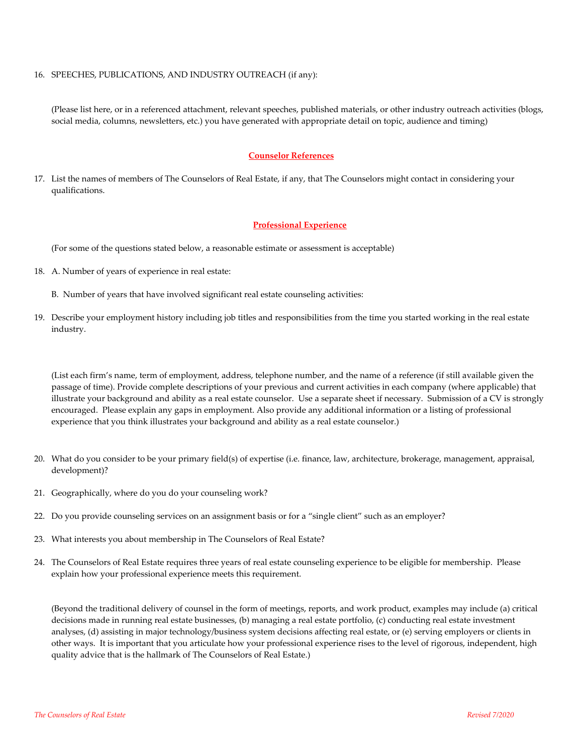#### 16. SPEECHES, PUBLICATIONS, AND INDUSTRY OUTREACH (if any):

(Please list here, or in a referenced attachment, relevant speeches, published materials, or other industry outreach activities (blogs, social media, columns, newsletters, etc.) you have generated with appropriate detail on topic, audience and timing)

#### **Counselor References**

17. List the names of members of The Counselors of Real Estate, if any, that The Counselors might contact in considering your qualifications.

#### **Professional Experience**

(For some of the questions stated below, a reasonable estimate or assessment is acceptable)

- 18. A. Number of years of experience in real estate:
	- B. Number of years that have involved significant real estate counseling activities:
- 19. Describe your employment history including job titles and responsibilities from the time you started working in the real estate industry.

(List each firm's name, term of employment, address, telephone number, and the name of a reference (if still available given the passage of time). Provide complete descriptions of your previous and current activities in each company (where applicable) that illustrate your background and ability as a real estate counselor. Use a separate sheet if necessary. Submission of a CV is strongly encouraged. Please explain any gaps in employment. Also provide any additional information or a listing of professional experience that you think illustrates your background and ability as a real estate counselor.)

- 20. What do you consider to be your primary field(s) of expertise (i.e. finance, law, architecture, brokerage, management, appraisal, development)?
- 21. Geographically, where do you do your counseling work?
- 22. Do you provide counseling services on an assignment basis or for a "single client" such as an employer?
- 23. What interests you about membership in The Counselors of Real Estate?
- 24. The Counselors of Real Estate requires three years of real estate counseling experience to be eligible for membership. Please explain how your professional experience meets this requirement.

(Beyond the traditional delivery of counsel in the form of meetings, reports, and work product, examples may include (a) critical decisions made in running real estate businesses, (b) managing a real estate portfolio, (c) conducting real estate investment analyses, (d) assisting in major technology/business system decisions affecting real estate, or (e) serving employers or clients in other ways. It is important that you articulate how your professional experience rises to the level of rigorous, independent, high quality advice that is the hallmark of The Counselors of Real Estate.)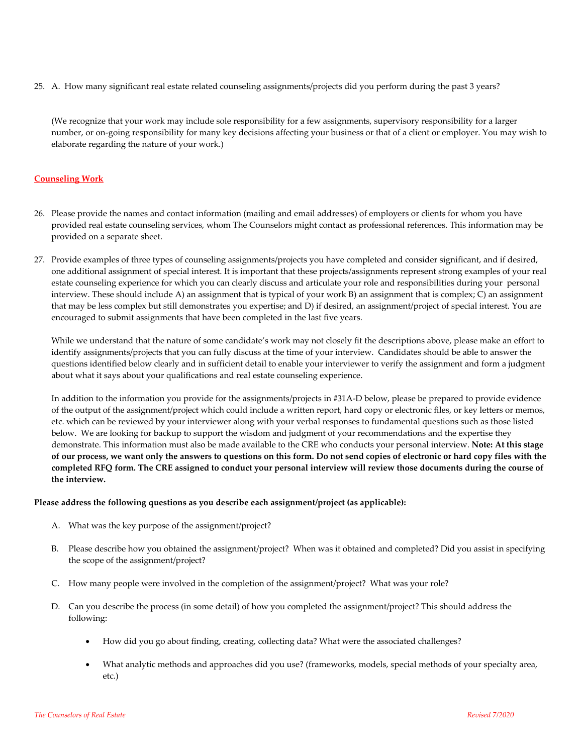25. A. How many significant real estate related counseling assignments/projects did you perform during the past 3 years?

(We recognize that your work may include sole responsibility for a few assignments, supervisory responsibility for a larger number, or on‐going responsibility for many key decisions affecting your business or that of a client or employer. You may wish to elaborate regarding the nature of your work.)

### **Counseling Work**

- 26. Please provide the names and contact information (mailing and email addresses) of employers or clients for whom you have provided real estate counseling services, whom The Counselors might contact as professional references. This information may be provided on a separate sheet.
- 27. Provide examples of three types of counseling assignments/projects you have completed and consider significant, and if desired, one additional assignment of special interest. It is important that these projects/assignments represent strong examples of your real estate counseling experience for which you can clearly discuss and articulate your role and responsibilities during your personal interview. These should include A) an assignment that is typical of your work B) an assignment that is complex; C) an assignment that may be less complex but still demonstrates you expertise; and D) if desired, an assignment/project of special interest. You are encouraged to submit assignments that have been completed in the last five years.

While we understand that the nature of some candidate's work may not closely fit the descriptions above, please make an effort to identify assignments/projects that you can fully discuss at the time of your interview. Candidates should be able to answer the questions identified below clearly and in sufficient detail to enable your interviewer to verify the assignment and form a judgment about what it says about your qualifications and real estate counseling experience.

In addition to the information you provide for the assignments/projects in #31A‐D below, please be prepared to provide evidence of the output of the assignment/project which could include a written report, hard copy or electronic files, or key letters or memos, etc. which can be reviewed by your interviewer along with your verbal responses to fundamental questions such as those listed below. We are looking for backup to support the wisdom and judgment of your recommendations and the expertise they demonstrate. This information must also be made available to the CRE who conducts your personal interview. **Note: At this stage** of our process, we want only the answers to questions on this form. Do not send copies of electronic or hard copy files with the completed RFQ form. The CRE assigned to conduct your personal interview will review those documents during the course of **the interview.**

#### **Please address the following questions as you describe each assignment/project (as applicable):**

- A. What was the key purpose of the assignment/project?
- B. Please describe how you obtained the assignment/project? When was it obtained and completed? Did you assist in specifying the scope of the assignment/project?
- C. How many people were involved in the completion of the assignment/project? What was your role?
- D. Can you describe the process (in some detail) of how you completed the assignment/project? This should address the following:
	- How did you go about finding, creating, collecting data? What were the associated challenges?
	- What analytic methods and approaches did you use? (frameworks, models, special methods of your specialty area, etc.)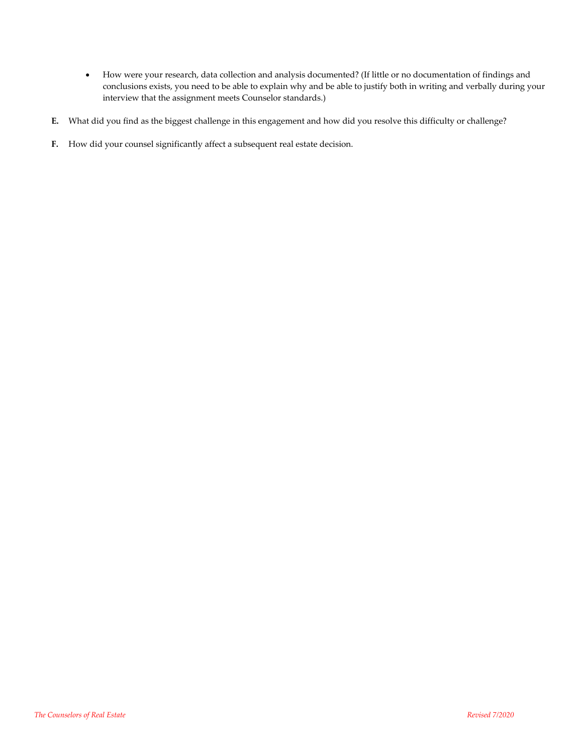- How were your research, data collection and analysis documented? (If little or no documentation of findings and conclusions exists, you need to be able to explain why and be able to justify both in writing and verbally during your interview that the assignment meets Counselor standards.)
- **E.** What did you find as the biggest challenge in this engagement and how did you resolve this difficulty or challenge?
- **F.** How did your counsel significantly affect a subsequent real estate decision.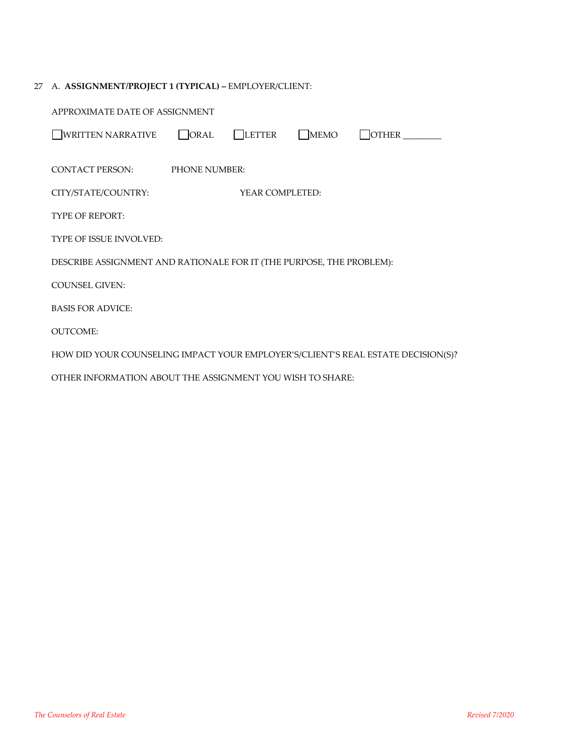# 27 A. **ASSIGNMENT/PROJECT 1 (TYPICAL) –** EMPLOYER/CLIENT:

| APPROXIMATE DATE OF ASSIGNMENT                                                   |                      |        |      |                     |  |  |
|----------------------------------------------------------------------------------|----------------------|--------|------|---------------------|--|--|
| <b>WRITTEN NARRATIVE</b>                                                         | ORAL                 | LETTER | MEMO | $\Box$ other $\_\_$ |  |  |
| <b>CONTACT PERSON:</b>                                                           | <b>PHONE NUMBER:</b> |        |      |                     |  |  |
| CITY/STATE/COUNTRY:                                                              | YEAR COMPLETED:      |        |      |                     |  |  |
| <b>TYPE OF REPORT:</b>                                                           |                      |        |      |                     |  |  |
| <b>TYPE OF ISSUE INVOLVED:</b>                                                   |                      |        |      |                     |  |  |
| DESCRIBE ASSIGNMENT AND RATIONALE FOR IT (THE PURPOSE, THE PROBLEM):             |                      |        |      |                     |  |  |
| <b>COUNSEL GIVEN:</b>                                                            |                      |        |      |                     |  |  |
| <b>BASIS FOR ADVICE:</b>                                                         |                      |        |      |                     |  |  |
| <b>OUTCOME:</b>                                                                  |                      |        |      |                     |  |  |
| HOW DID YOUR COUNSELING IMPACT YOUR EMPLOYER'S/CLIENT'S REAL ESTATE DECISION(S)? |                      |        |      |                     |  |  |
| OTHER INFORMATION ABOUT THE ASSIGNMENT YOU WISH TO SHARE:                        |                      |        |      |                     |  |  |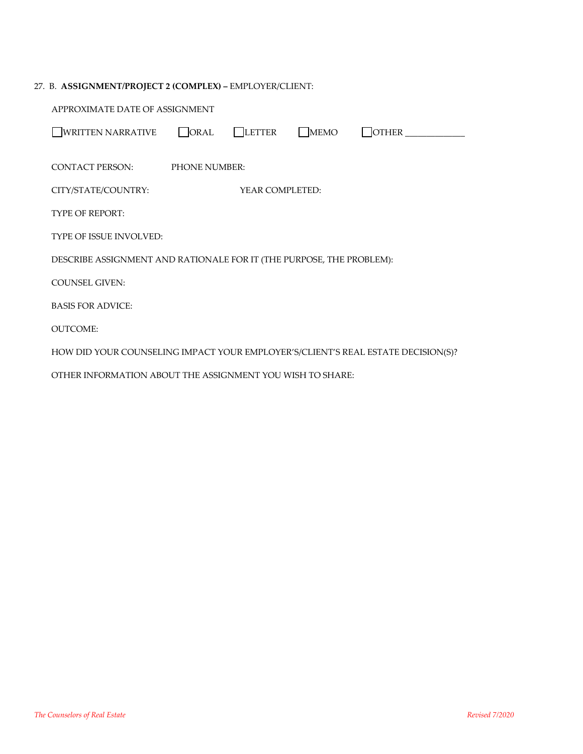| 27. B. ASSIGNMENT/PROJECT 2 (COMPLEX) - EMPLOYER/CLIENT:                         |  |  |  |  |  |  |
|----------------------------------------------------------------------------------|--|--|--|--|--|--|
| APPROXIMATE DATE OF ASSIGNMENT                                                   |  |  |  |  |  |  |
| <b>WRITTEN NARRATIVE</b><br>ORAL<br>  LETTER<br><b>MEMO</b><br><b>OTHER</b>      |  |  |  |  |  |  |
| CONTACT PERSON:<br><b>PHONE NUMBER:</b>                                          |  |  |  |  |  |  |
| CITY/STATE/COUNTRY:<br>YEAR COMPLETED:                                           |  |  |  |  |  |  |
| <b>TYPE OF REPORT:</b>                                                           |  |  |  |  |  |  |
| TYPE OF ISSUE INVOLVED:                                                          |  |  |  |  |  |  |
| DESCRIBE ASSIGNMENT AND RATIONALE FOR IT (THE PURPOSE, THE PROBLEM):             |  |  |  |  |  |  |
| <b>COUNSEL GIVEN:</b>                                                            |  |  |  |  |  |  |
| <b>BASIS FOR ADVICE:</b>                                                         |  |  |  |  |  |  |
| <b>OUTCOME:</b>                                                                  |  |  |  |  |  |  |
| HOW DID YOUR COUNSELING IMPACT YOUR EMPLOYER'S/CLIENT'S REAL ESTATE DECISION(S)? |  |  |  |  |  |  |
| OTHER INFORMATION ABOUT THE ASSIGNMENT YOU WISH TO SHARE:                        |  |  |  |  |  |  |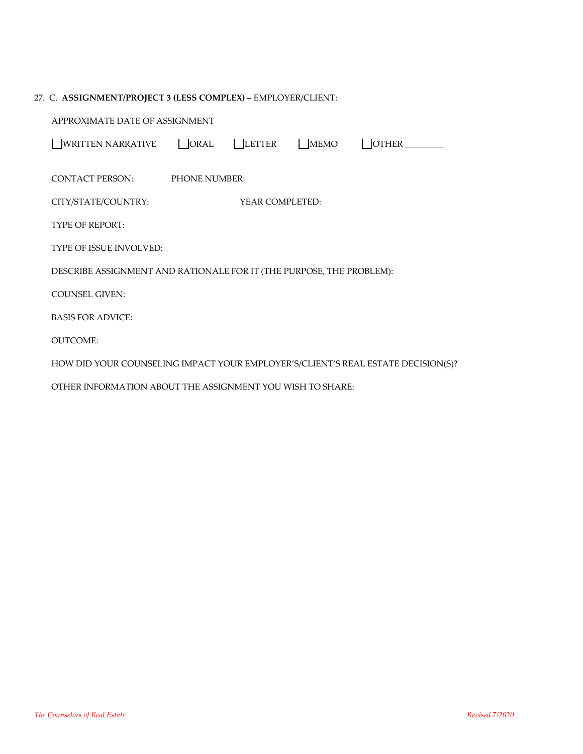## 27. C. **ASSIGNMENT/PROJECT 3 (LESS COMPLEX) –** EMPLOYER/CLIENT:

| APPROXIMATE DATE OF ASSIGNMENT                                                   |                      |        |      |              |  |  |
|----------------------------------------------------------------------------------|----------------------|--------|------|--------------|--|--|
| <b>WRITTEN NARRATIVE</b>                                                         | ORAL                 | LETTER | MEMO | <b>OTHER</b> |  |  |
| CONTACT PERSON:                                                                  | <b>PHONE NUMBER:</b> |        |      |              |  |  |
| CITY/STATE/COUNTRY:                                                              | YEAR COMPLETED:      |        |      |              |  |  |
| <b>TYPE OF REPORT:</b>                                                           |                      |        |      |              |  |  |
| <b>TYPE OF ISSUE INVOLVED:</b>                                                   |                      |        |      |              |  |  |
| DESCRIBE ASSIGNMENT AND RATIONALE FOR IT (THE PURPOSE, THE PROBLEM):             |                      |        |      |              |  |  |
| <b>COUNSEL GIVEN:</b>                                                            |                      |        |      |              |  |  |
| <b>BASIS FOR ADVICE:</b>                                                         |                      |        |      |              |  |  |
| <b>OUTCOME:</b>                                                                  |                      |        |      |              |  |  |
| HOW DID YOUR COUNSELING IMPACT YOUR EMPLOYER'S/CLIENT'S REAL ESTATE DECISION(S)? |                      |        |      |              |  |  |
| OTHER INFORMATION ABOUT THE ASSIGNMENT YOU WISH TO SHARE:                        |                      |        |      |              |  |  |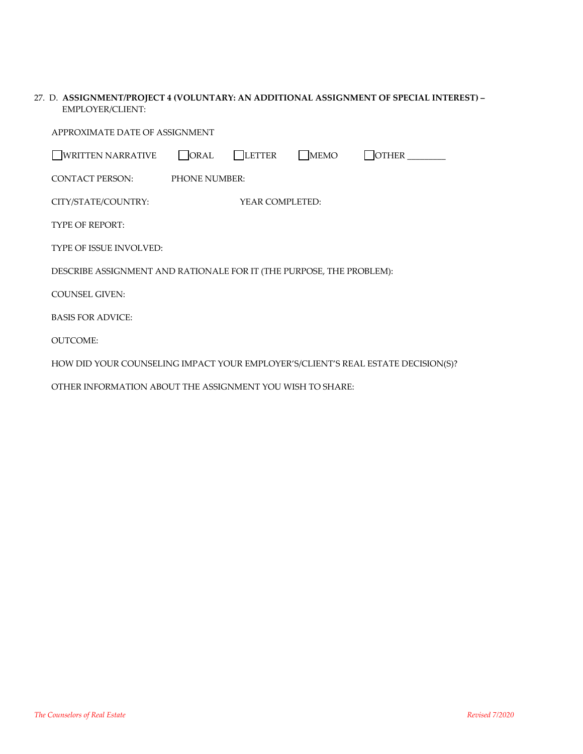| 27. D. ASSIGNMENT/PROJECT 4 (VOLUNTARY: AN ADDITIONAL ASSIGNMENT OF SPECIAL INTEREST) – |
|-----------------------------------------------------------------------------------------|
| EMPLOYER/CLIENT:                                                                        |

| APPROXIMATE DATE OF ASSIGNMENT                                                   |               |                 |      |              |  |  |
|----------------------------------------------------------------------------------|---------------|-----------------|------|--------------|--|--|
| <b>WRITTEN NARRATIVE</b>                                                         | ORAL          | LETTER          | MEMO | <b>OTHER</b> |  |  |
| CONTACT PERSON:                                                                  | PHONE NUMBER: |                 |      |              |  |  |
| CITY/STATE/COUNTRY:                                                              |               | YEAR COMPLETED: |      |              |  |  |
| <b>TYPE OF REPORT:</b>                                                           |               |                 |      |              |  |  |
| TYPE OF ISSUE INVOLVED:                                                          |               |                 |      |              |  |  |
| DESCRIBE ASSIGNMENT AND RATIONALE FOR IT (THE PURPOSE, THE PROBLEM):             |               |                 |      |              |  |  |
| <b>COUNSEL GIVEN:</b>                                                            |               |                 |      |              |  |  |
| <b>BASIS FOR ADVICE:</b>                                                         |               |                 |      |              |  |  |
| <b>OUTCOME:</b>                                                                  |               |                 |      |              |  |  |
| HOW DID YOUR COUNSELING IMPACT YOUR EMPLOYER'S/CLIENT'S REAL ESTATE DECISION(S)? |               |                 |      |              |  |  |
| OTHER INFORMATION ABOUT THE ASSIGNMENT YOU WISH TO SHARE:                        |               |                 |      |              |  |  |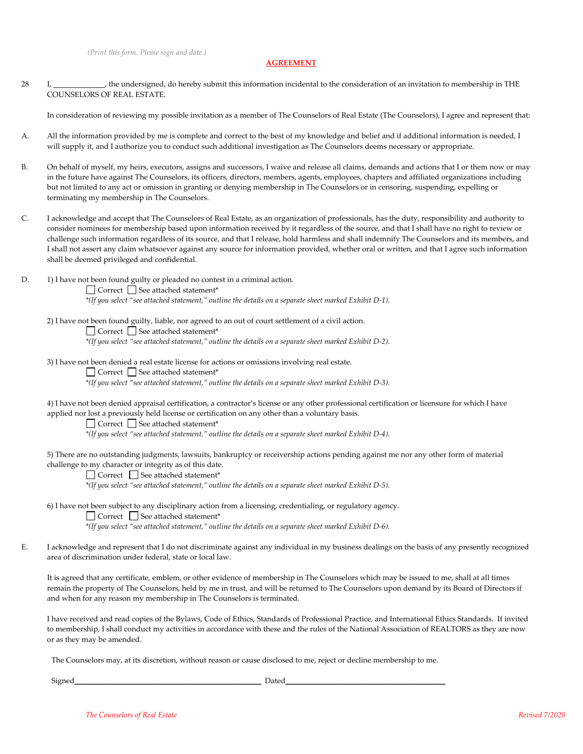#### **AGREEMENT**

28 I, **\_\_\_\_\_\_\_\_\_\_\_\_**, the undersigned, do hereby submit this information incidental to the consideration of an invitation to membership in THE COUNSELORS OF REAL ESTATE.

In consideration of reviewing my possible invitation as a member of The Counselors of Real Estate (The Counselors), I agree and represent that:

- A. All the information provided by me is complete and correct to the best of my knowledge and belief and if additional information is needed, I will supply it, and I authorize you to conduct such additional investigation as The Counselors deems necessary or appropriate.
- B. On behalf of myself, my heirs, executors, assigns and successors, I waive and release all claims, demands and actions that I or them now or may in the future have against The Counselors, its officers, directors, members, agents, employees, chapters and affiliated organizations including but not limited to any act or omission in granting or denying membership in The Counselors or in censoring, suspending, expelling or terminating my membership in The Counselors.
- C. I acknowledge and accept that The Counselors of Real Estate, as an organization of professionals, has the duty, responsibility and authority to consider nominees for membership based upon information received by it regardless of the source, and that I shall have no right to review or challenge such information regardless of its source, and that I release, hold harmless and shall indemnify The Counselors and its members, and I shall not assert any claim whatsoever against any source for information provided, whether oral or written, and that I agree such information shall be deemed privileged and confidential.
- D. 1) I have not been found guilty or pleaded no contest in a criminal action.

\*(If you select "see attached statement," outline the details on a separate sheet marked Exhibit D-1).

2) I have not been found guilty, liable, nor agreed to an out of court settlement of a civil action.

 $\Box$  Correct  $\Box$  See attached statement\*

\*(If you select "see attached statement," outline the details on a separate sheet marked Exhibit D-2).

- 3) I have not been denied a real estate license for actions or omissions involving real estate.
	- □ Correct □ See attached statement\*

\*(If you select "see attached statement," outline the details on a separate sheet marked Exhibit D-3).

4) I have not been denied appraisal certification, a contractor's license or any other professional certification or licensure for which I have applied nor lost a previously held license or certification on any other than a voluntary basis.

□ Correct □ See attached statement\*

\*(If you select "see attached statement," outline the details on a separate sheet marked Exhibit D-4).

5) There are no outstanding judgments, lawsuits, bankruptcy or receivership actions pending against me nor any other form of material challenge to my character or integrity as of this date.

 $\Box$  Correct  $\Box$  See attached statement\*

\*(If you select "see attached statement," outline the details on a separate sheet marked Exhibit D-5).

6) I have not been subject to any disciplinary action from a licensing, credentialing, or regulatory agency.

 $\Box$  Correct  $\Box$  See attached statement\*

\*(If you select "see attached statement," outline the details on a separate sheet marked Exhibit D-6).

E. I acknowledge and represent that I do not discriminate against any individual in my business dealings on the basis of any presently recognized area of discrimination under federal, state or local law.

It is agreed that any certificate, emblem, or other evidence of membership in The Counselors which may be issued to me, shall at all times remain the property of The Counselors, held by me in trust, and will be returned to The Counselors upon demand by its Board of Directors if and when for any reason my membership in The Counselors is terminated.

I have received and read copies of the Bylaws, Code of Ethics, Standards of Professional Practice, and International Ethics Standards. If invited to membership, I shall conduct my activities in accordance with these and the rules of the National Association of REALTORS as they are now or as they may be amended.

The Counselors may, at its discretion, without reason or cause disclosed to me, reject or decline membership to me.

Signed\_\_\_\_\_\_\_\_\_\_\_\_\_\_\_\_\_\_\_\_\_\_\_\_\_\_\_\_\_\_\_\_\_\_\_\_\_\_\_\_\_\_\_\_\_\_\_\_\_ Dated\_\_\_\_\_\_\_\_\_\_\_\_\_\_\_\_\_\_\_\_\_\_\_\_\_\_\_\_\_\_\_\_\_\_\_\_\_\_\_\_\_\_

 $\Box$  Correct  $\Box$  See attached statement\*